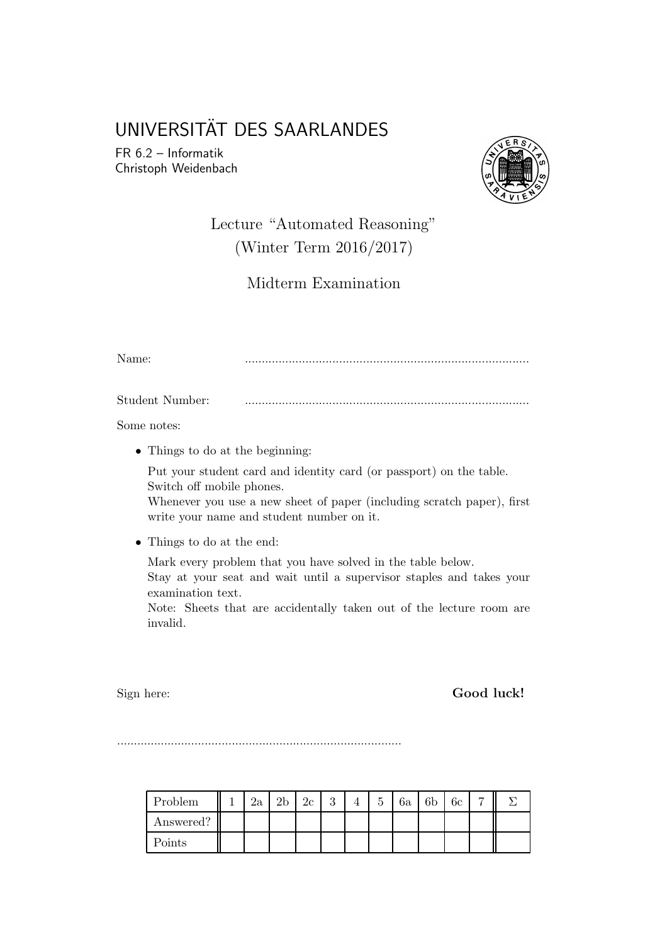# UNIVERSITÄT DES SAARLANDES

FR 6.2 – Informatik Christoph Weidenbach



## Lecture "Automated Reasoning" (Winter Term 2016/2017)

Midterm Examination

Name: ....................................................................................

Student Number: ....................................................................................

Some notes:

• Things to do at the beginning:

Put your student card and identity card (or passport) on the table. Switch off mobile phones.

Whenever you use a new sheet of paper (including scratch paper), first write your name and student number on it.

• Things to do at the end:

Mark every problem that you have solved in the table below.

Stay at your seat and wait until a supervisor staples and takes your examination text.

Note: Sheets that are accidentally taken out of the lecture room are invalid.

Sign here: **Good luck!** 

....................................................................................

| Problem   | $2\mathrm{a}$ | าเ | 2c | 2<br>Ω | 5 | 6a | 6 <sub>b</sub> | 6с | − |  |
|-----------|---------------|----|----|--------|---|----|----------------|----|---|--|
| Answered? |               |    |    |        |   |    |                |    |   |  |
| Points    |               |    |    |        |   |    |                |    |   |  |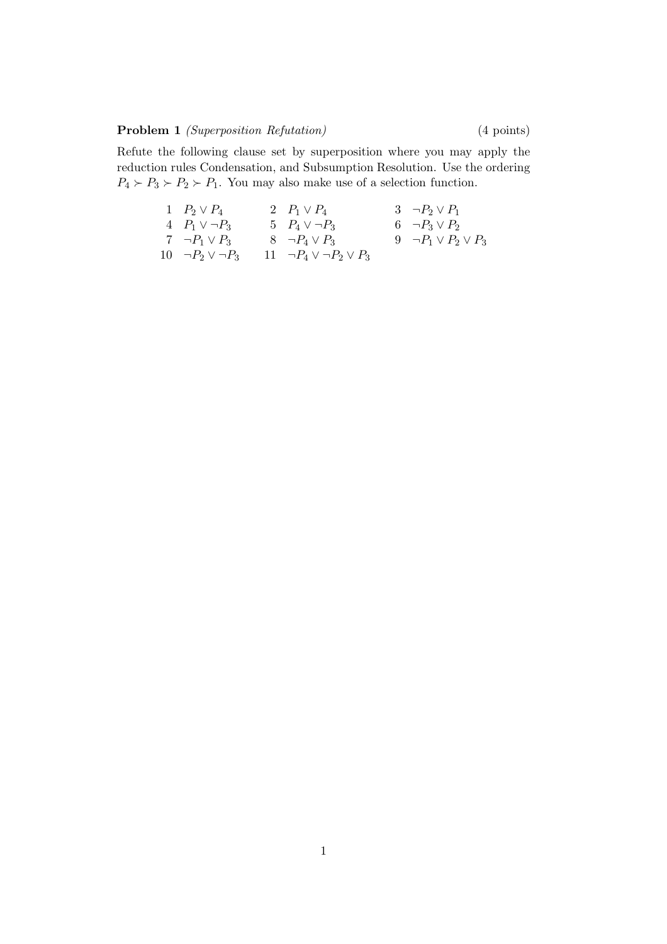#### Problem 1 *(Superposition Refutation)* (4 points)

Refute the following clause set by superposition where you may apply the reduction rules Condensation, and Subsumption Resolution. Use the ordering  $P_4 \succ P_3 \succ P_2 \succ P_1$ . You may also make use of a selection function.

1 
$$
P_2 \lor P_4
$$
  
\n2  $P_1 \lor P_4$   
\n3  $\neg P_2 \lor P_1$   
\n4  $P_1 \lor \neg P_3$   
\n5  $P_4 \lor \neg P_3$   
\n6  $\neg P_3 \lor P_2$   
\n7  $\neg P_1 \lor P_3$   
\n8  $\neg P_4 \lor P_3$   
\n9  $\neg P_1 \lor P_2 \lor P_3$   
\n10  $\neg P_2 \lor \neg P_3$   
\n11  $\neg P_4 \lor \neg P_2 \lor P_3$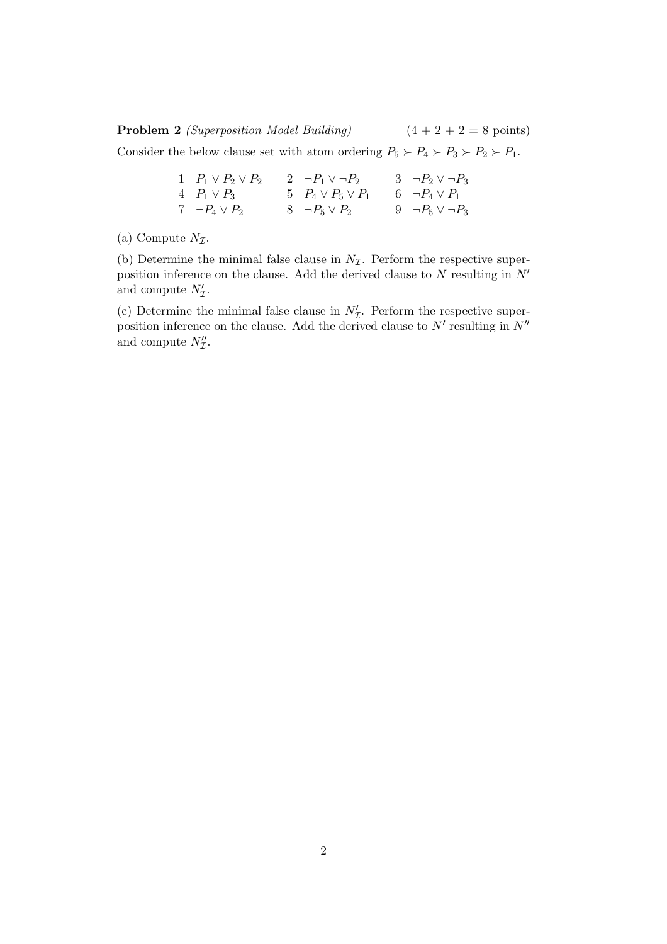**Problem 2** (Superposition Model Building)  $(4 + 2 + 2 = 8 \text{ points})$ 

Consider the below clause set with atom ordering  $P_5 \succ P_4 \succ P_3 \succ P_2 \succ P_1$ .

| 1 $P_1 \vee P_2 \vee P_2$ | 2 $\neg P_1 \vee \neg P_2$ | 3 $\neg P_2 \vee \neg P_3$ |
|---------------------------|----------------------------|----------------------------|
| 4 $P_1 \vee P_3$          | 5 $P_4 \vee P_5 \vee P_1$  | 6 $\neg P_4 \vee P_1$      |
| 7 $\neg P_4 \vee P_2$     | $8 \neg P_5 \vee P_2$      | 9 $\neg P_5 \vee \neg P_3$ |

(a) Compute  $N_{\mathcal{I}}$ .

(b) Determine the minimal false clause in  $N_{\mathcal{I}}$ . Perform the respective superposition inference on the clause. Add the derived clause to  $N$  resulting in  $N'$ and compute  $N_{\mathcal{I}}'$ .

(c) Determine the minimal false clause in  $N'_\mathcal{I}$ . Perform the respective superposition inference on the clause. Add the derived clause to  $N'$  resulting in  $N''$ and compute  $N''_{\mathcal{I}}$ .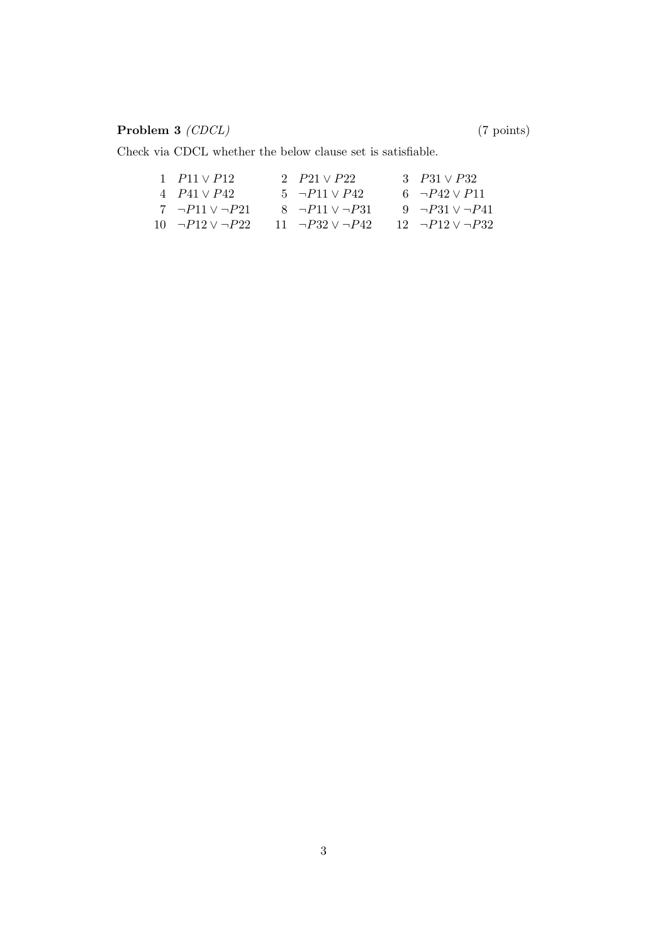### Problem 3 (CDCL) (7 points)

Check via CDCL whether the below clause set is satisfiable.

| 1 $P11 \vee P12$                  | 2 $P21 \vee P22$            | 3 $P31 \vee P32$           |
|-----------------------------------|-----------------------------|----------------------------|
| 4 $P_{41} \vee P_{42}$            | $5 \neg P11 \vee P42$       | 6 $\neg P42 \vee P11$      |
| 7 $\neg P11 \vee \neg P21$        | $8 - P11 \vee P31$          | 9 $\neg P31 \vee \neg P41$ |
| $10 \quad \neg P12 \lor \neg P22$ | 11 $\neg P32 \vee \neg P42$ | $12 - P12 \vee P32$        |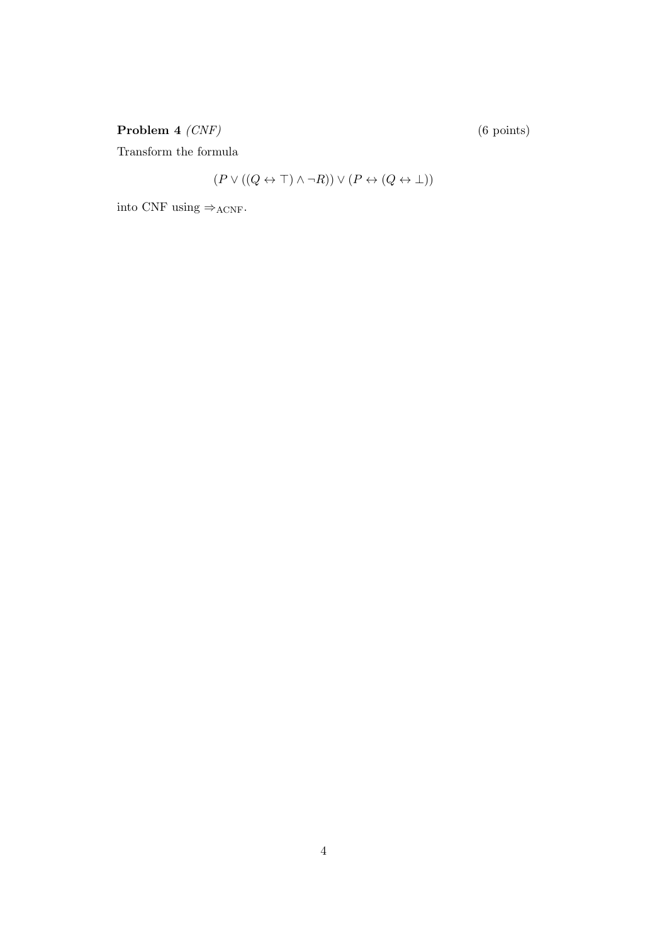Problem 4 (CNF) (6 points)

Transform the formula

$$
(P \lor ((Q \leftrightarrow \top) \land \neg R)) \lor (P \leftrightarrow (Q \leftrightarrow \bot))
$$

into CNF using  $\Rightarrow$ ACNF.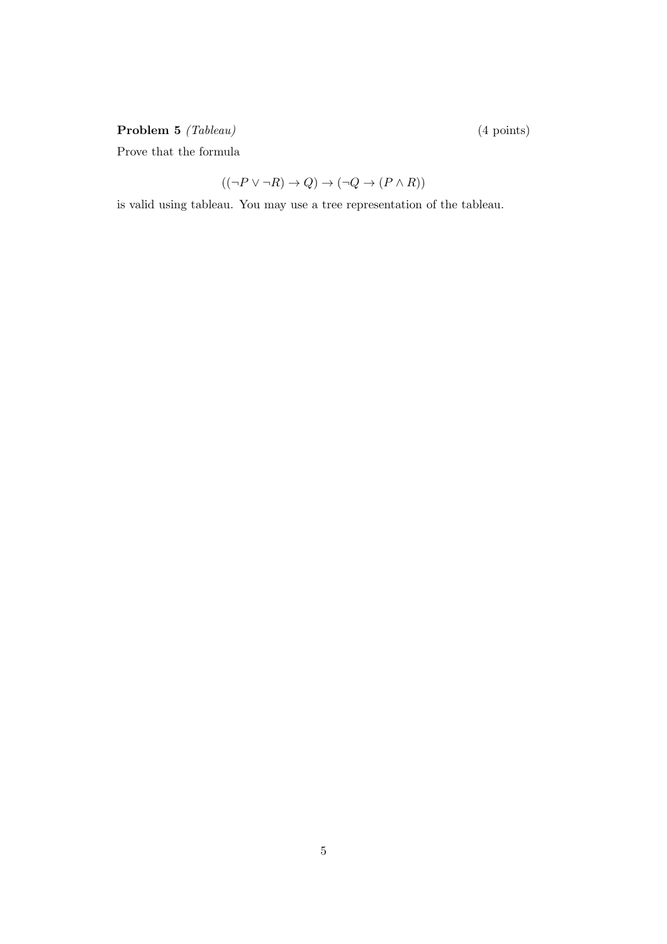### Problem 5 (Tableau) (4 points)

Prove that the formula

$$
((\neg P \lor \neg R) \to Q) \to (\neg Q \to (P \land R))
$$

is valid using tableau. You may use a tree representation of the tableau.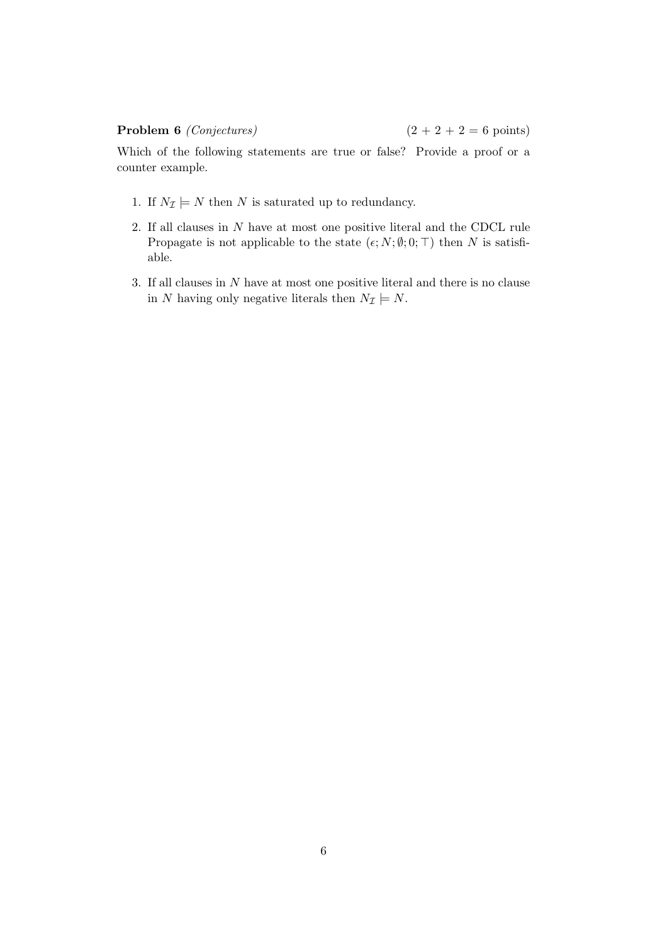#### **Problem 6** (Conjectures) (2 + 2 + 2 = 6 points)

Which of the following statements are true or false? Provide a proof or a counter example.

- 1. If  $N_{\mathcal{I}} \models N$  then N is saturated up to redundancy.
- 2. If all clauses in N have at most one positive literal and the CDCL rule Propagate is not applicable to the state  $(\epsilon; N; \emptyset; 0; \top)$  then N is satisfiable.
- 3. If all clauses in N have at most one positive literal and there is no clause in N having only negative literals then  $N_{\mathcal{I}} \models N$ .